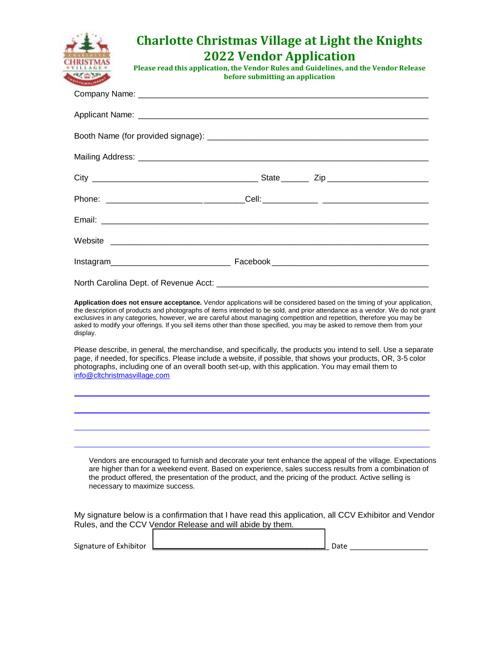|                                          | <b>Charlotte Christmas Village at Light the Knights</b><br><b>2022 Vendor Application</b><br>Please read this application, the Vendor Rules and Guidelines, and the Vendor Release<br>before submitting an application                                                                                                                                                                                                                                                                                                                                                                                                                                                                                                      |
|------------------------------------------|-----------------------------------------------------------------------------------------------------------------------------------------------------------------------------------------------------------------------------------------------------------------------------------------------------------------------------------------------------------------------------------------------------------------------------------------------------------------------------------------------------------------------------------------------------------------------------------------------------------------------------------------------------------------------------------------------------------------------------|
|                                          |                                                                                                                                                                                                                                                                                                                                                                                                                                                                                                                                                                                                                                                                                                                             |
|                                          |                                                                                                                                                                                                                                                                                                                                                                                                                                                                                                                                                                                                                                                                                                                             |
|                                          |                                                                                                                                                                                                                                                                                                                                                                                                                                                                                                                                                                                                                                                                                                                             |
|                                          |                                                                                                                                                                                                                                                                                                                                                                                                                                                                                                                                                                                                                                                                                                                             |
|                                          |                                                                                                                                                                                                                                                                                                                                                                                                                                                                                                                                                                                                                                                                                                                             |
|                                          |                                                                                                                                                                                                                                                                                                                                                                                                                                                                                                                                                                                                                                                                                                                             |
|                                          |                                                                                                                                                                                                                                                                                                                                                                                                                                                                                                                                                                                                                                                                                                                             |
|                                          |                                                                                                                                                                                                                                                                                                                                                                                                                                                                                                                                                                                                                                                                                                                             |
|                                          |                                                                                                                                                                                                                                                                                                                                                                                                                                                                                                                                                                                                                                                                                                                             |
|                                          | Application does not ensure acceptance. Vendor applications will be considered based on the timing of your application,                                                                                                                                                                                                                                                                                                                                                                                                                                                                                                                                                                                                     |
| display.<br>info@cltchristmasvillage.com | the description of products and photographs of items intended to be sold, and prior attendance as a vendor. We do not grant<br>exclusives in any categories, however, we are careful about managing competition and repetition, therefore you may be<br>asked to modify your offerings. If you sell items other than those specified, you may be asked to remove them from your<br>Please describe, in general, the merchandise, and specifically, the products you intend to sell. Use a separate<br>page, if needed, for specifics. Please include a website, if possible, that shows your products, OR, 3-5 color<br>photographs, including one of an overall booth set-up, with this application. You may email them to |
|                                          |                                                                                                                                                                                                                                                                                                                                                                                                                                                                                                                                                                                                                                                                                                                             |
|                                          | Vendors are encouraged to furnish and decorate your tent enhance the appeal of the village. Expectations<br>are higher than for a weekend event. Based on experience, sales success results from a combination of<br>the product offered, the presentation of the product, and the pricing of the product. Active selling is<br>necessary to maximize success.                                                                                                                                                                                                                                                                                                                                                              |
|                                          | My signature below is a confirmation that I have read this application, all CCV Exhibitor and Vendor<br>Rules, and the CCV Vendor Release and will abide by them.                                                                                                                                                                                                                                                                                                                                                                                                                                                                                                                                                           |